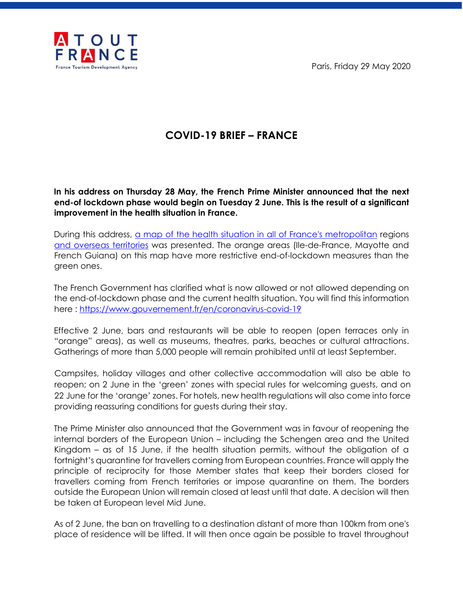Paris, Friday 29 May 2020



## **COVID-19 BRIEF – FRANCE**

**In his address on Thursday 28 May, the French Prime Minister announced that the next end-of lockdown phase would begin on Tuesday 2 June. This is the result of a significant improvement in the health situation in France.** 

During this address, [a map of the health situation in all of France's metropolitan](https://www.data.gouv.fr/fr/reuses/covid19-carte-de-france-du-deconfinement/) region[s](https://www.data.gouv.fr/fr/reuses/covid19-carte-de-france-du-deconfinement/) [and overseas territories](https://www.data.gouv.fr/fr/reuses/covid19-carte-de-france-du-deconfinement/) was presented. The orange areas (Ile-de-France, Mayotte and French Guiana) on this map have more restrictive end-of-lockdown measures than the green ones.

The French Government has clarified what is now allowed or not allowed depending on the end-of-lockdown phase and the current health situation. You will find this information here :<https://www.gouvernement.fr/en/coronavirus-covid-19>

Effective 2 June, bars and restaurants will be able to reopen (open terraces only in "orange" areas), as well as museums, theatres, parks, beaches or cultural attractions. Gatherings of more than 5,000 people will remain prohibited until at least September.

Campsites, holiday villages and other collective accommodation will also be able to reopen; on 2 June in the 'green' zones with special rules for welcoming guests, and on 22 June for the 'orange' zones. For hotels, new health regulations will also come into force providing reassuring conditions for guests during their stay.

The Prime Minister also announced that the Government was in favour of reopening the internal borders of the European Union – including the Schengen area and the United Kingdom – as of 15 June, if the health situation permits, without the obligation of a fortnight's quarantine for travellers coming from European countries. France will apply the principle of reciprocity for those Member states that keep their borders closed for travellers coming from French territories or impose quarantine on them. The borders outside the European Union will remain closed at least until that date. A decision will then be taken at European level Mid June.

As of 2 June, the ban on travelling to a destination distant of more than 100km from one's place of residence will be lifted. It will then once again be possible to travel throughout